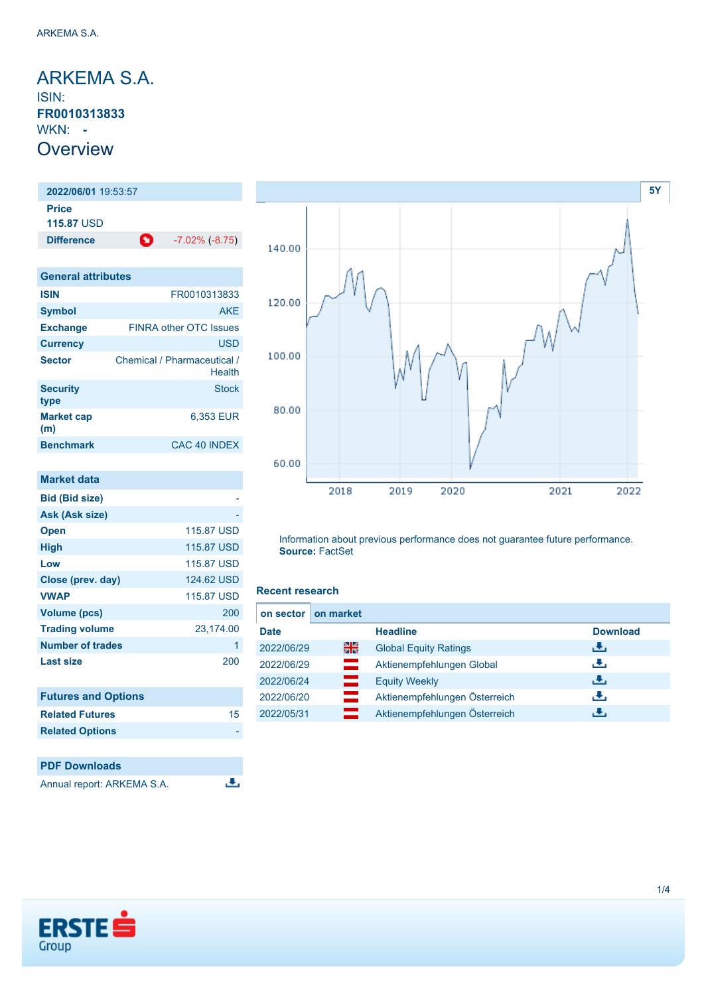<span id="page-0-0"></span>ARKEMA S.A. ISIN: **FR0010313833** WKN: **- Overview** 

**2022/06/01** 19:53:57 **Price 115.87** USD **Difference** -7.02% (-8.75)

| <b>General attributes</b> |                                       |  |  |
|---------------------------|---------------------------------------|--|--|
| <b>ISIN</b>               | FR0010313833                          |  |  |
| <b>Symbol</b>             | <b>AKE</b>                            |  |  |
| <b>Exchange</b>           | <b>FINRA other OTC Issues</b>         |  |  |
| <b>Currency</b>           | <b>USD</b>                            |  |  |
| <b>Sector</b>             | Chemical / Pharmaceutical /<br>Health |  |  |
| <b>Security</b><br>type   | <b>Stock</b>                          |  |  |
| <b>Market cap</b><br>(m)  | 6,353 EUR                             |  |  |
| <b>Benchmark</b>          | CAC 40 INDEX                          |  |  |

| <b>Market data</b>         |            |
|----------------------------|------------|
| <b>Bid (Bid size)</b>      |            |
| Ask (Ask size)             |            |
| <b>Open</b>                | 115.87 USD |
| High                       | 115.87 USD |
| Low                        | 115.87 USD |
| Close (prev. day)          | 124.62 USD |
| <b>VWAP</b>                | 115.87 USD |
| <b>Volume (pcs)</b>        | 200        |
| <b>Trading volume</b>      | 23,174.00  |
| <b>Number of trades</b>    | 1          |
| Last size                  | 200        |
|                            |            |
| <b>Futures and Options</b> |            |
| <b>Related Futures</b>     | 15         |
| <b>Related Options</b>     |            |
|                            |            |

### **PDF Downloads** Annual report: ARKEMA S.A.



Information about previous performance does not guarantee future performance. **Source:** FactSet

### **Recent research**

 $\overline{.}$ 

| on sector   | on market |                               |                 |
|-------------|-----------|-------------------------------|-----------------|
| <b>Date</b> |           | <b>Headline</b>               | <b>Download</b> |
| 2022/06/29  | 을중        | <b>Global Equity Ratings</b>  | <u>انتقى</u>    |
| 2022/06/29  | $=$       | Aktienempfehlungen Global     | رالى            |
| 2022/06/24  | ━         | <b>Equity Weekly</b>          | 出               |
| 2022/06/20  | $\equiv$  | Aktienempfehlungen Österreich | رالى            |
| 2022/05/31  |           | Aktienempfehlungen Österreich | Æ,              |

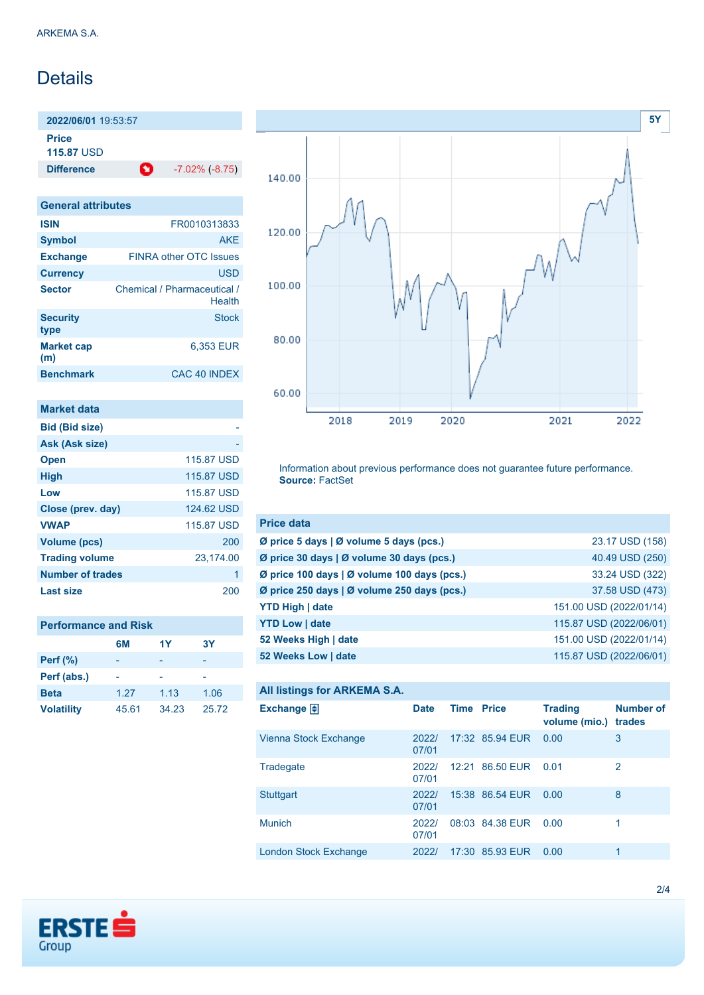# Details

**2022/06/01** 19:53:57

**Price 115.87** USD

**Difference** -7.02% (-8.75)

| <b>General attributes</b> |                                       |  |
|---------------------------|---------------------------------------|--|
| <b>ISIN</b>               | FR0010313833                          |  |
| <b>Symbol</b>             | <b>AKF</b>                            |  |
| <b>Exchange</b>           | <b>FINRA other OTC Issues</b>         |  |
| <b>Currency</b>           | <b>USD</b>                            |  |
| <b>Sector</b>             | Chemical / Pharmaceutical /<br>Health |  |
| <b>Security</b><br>type   | Stock                                 |  |
| <b>Market cap</b><br>(m)  | 6.353 EUR                             |  |
| <b>Benchmark</b>          | CAC 40 INDEX                          |  |

| Market data             |            |
|-------------------------|------------|
| <b>Bid (Bid size)</b>   |            |
| Ask (Ask size)          |            |
| <b>Open</b>             | 115.87 USD |
| <b>High</b>             | 115.87 USD |
| Low                     | 115.87 USD |
| Close (prev. day)       | 124.62 USD |
| <b>VWAP</b>             | 115.87 USD |
| Volume (pcs)            | 200        |
| <b>Trading volume</b>   | 23,174.00  |
| <b>Number of trades</b> |            |
| Last size               | 200        |

| <b>Performance and Risk</b> |       |       |       |  |
|-----------------------------|-------|-------|-------|--|
|                             | 6M    | 1Y    | 3Y    |  |
| <b>Perf</b> (%)             |       |       |       |  |
| Perf (abs.)                 |       |       |       |  |
| <b>Beta</b>                 | 1.27  | 1.13  | 1.06  |  |
| <b>Volatility</b>           | 45.61 | 34.23 | 25.72 |  |



Information about previous performance does not guarantee future performance. **Source:** FactSet

| <b>Price data</b>                           |                         |
|---------------------------------------------|-------------------------|
| Ø price 5 days   Ø volume 5 days (pcs.)     | 23.17 USD (158)         |
| Ø price 30 days   Ø volume 30 days (pcs.)   | 40.49 USD (250)         |
| Ø price 100 days   Ø volume 100 days (pcs.) | 33.24 USD (322)         |
| Ø price 250 days   Ø volume 250 days (pcs.) | 37.58 USD (473)         |
| <b>YTD High   date</b>                      | 151.00 USD (2022/01/14) |
| <b>YTD Low   date</b>                       | 115.87 USD (2022/06/01) |
| 52 Weeks High   date                        | 151.00 USD (2022/01/14) |
| 52 Weeks Low   date                         | 115.87 USD (2022/06/01) |

### **All listings for ARKEMA S.A.**

| Exchange $\Box$       | <b>Date</b>    | <b>Time Price</b> |                 | <b>Trading</b><br>volume (mio.) | <b>Number of</b><br>trades |
|-----------------------|----------------|-------------------|-----------------|---------------------------------|----------------------------|
| Vienna Stock Exchange | 2022/<br>07/01 |                   | 17:32 85.94 EUR | 0.00                            | 3                          |
| Tradegate             | 2022/<br>07/01 |                   | 12:21 86.50 EUR | 0.01                            | 2                          |
| <b>Stuttgart</b>      | 2022/<br>07/01 |                   | 15:38 86.54 EUR | 0.00                            | 8                          |
| <b>Munich</b>         | 2022/<br>07/01 |                   | 08:03 84.38 EUR | 0.00                            | 1                          |
| London Stock Exchange | 2022/          |                   | 17:30 85.93 EUR | 0.00                            | 1                          |

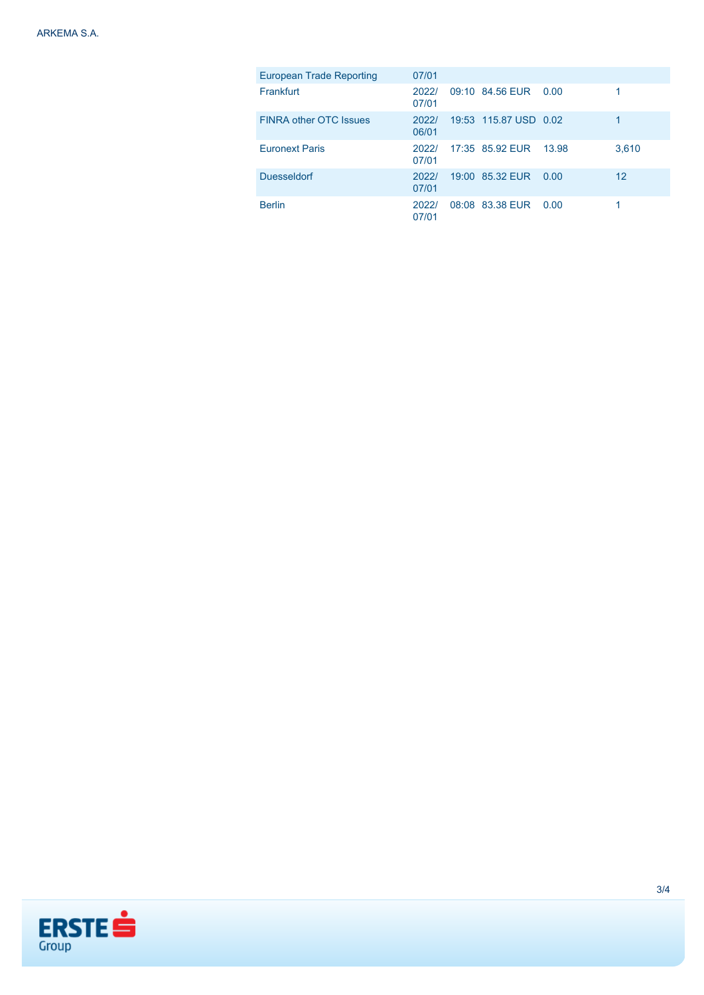| <b>European Trade Reporting</b> | 07/01          |                       |       |                   |
|---------------------------------|----------------|-----------------------|-------|-------------------|
| Frankfurt                       | 2022/<br>07/01 | 09:10 84.56 EUR       | 0.00  |                   |
| <b>FINRA other OTC Issues</b>   | 2022/<br>06/01 | 19:53 115.87 USD 0.02 |       | 1                 |
| <b>Euronext Paris</b>           | 2022/<br>07/01 | 17:35 85.92 EUR       | 13.98 | 3,610             |
| <b>Duesseldorf</b>              | 2022/<br>07/01 | 19:00 85.32 EUR       | 0.00  | $12 \overline{ }$ |
| <b>Berlin</b>                   | 2022/<br>07/01 | 08:08 83.38 EUR 0.00  |       |                   |